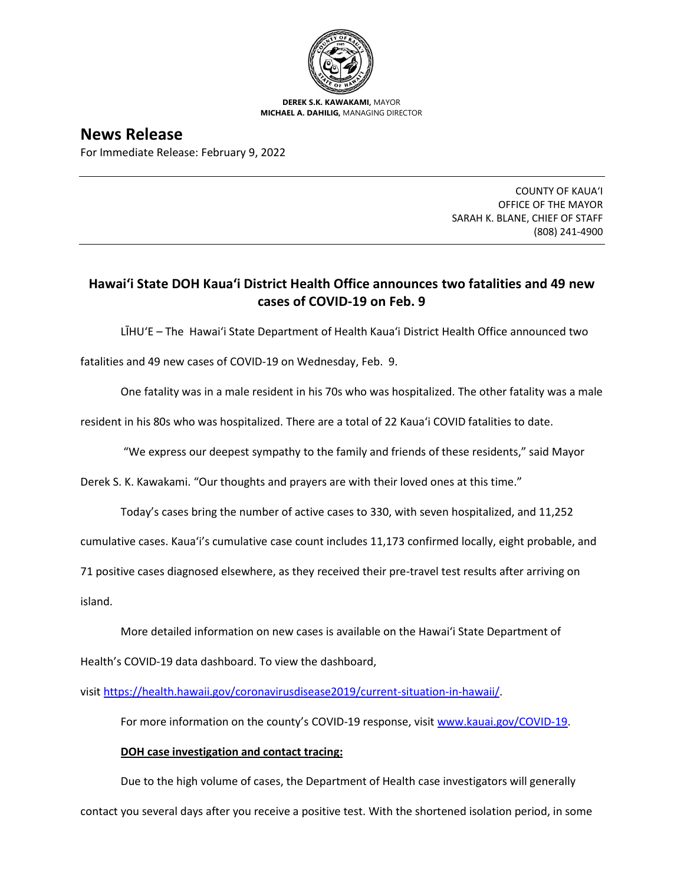

**DEREK S.K. KAWAKAMI,** MAYOR **MICHAEL A. DAHILIG,** MANAGING DIRECTOR

**News Release** For Immediate Release: February 9, 2022

> COUNTY OF KAUA'I OFFICE OF THE MAYOR SARAH K. BLANE, CHIEF OF STAFF (808) 241-4900

## **Hawai'i State DOH Kaua'i District Health Office announces two fatalities and 49 new cases of COVID-19 on Feb. 9**

LĪHU'E – The Hawai'i State Department of Health Kaua'i District Health Office announced two

fatalities and 49 new cases of COVID-19 on Wednesday, Feb. 9.

One fatality was in a male resident in his 70s who was hospitalized. The other fatality was a male

resident in his 80s who was hospitalized. There are a total of 22 Kaua'i COVID fatalities to date.

"We express our deepest sympathy to the family and friends of these residents," said Mayor

Derek S. K. Kawakami. "Our thoughts and prayers are with their loved ones at this time."

Today's cases bring the number of active cases to 330, with seven hospitalized, and 11,252

cumulative cases. Kaua'i's cumulative case count includes 11,173 confirmed locally, eight probable, and

71 positive cases diagnosed elsewhere, as they received their pre-travel test results after arriving on

island.

More detailed information on new cases is available on the Hawai'i State Department of

Health's COVID-19 data dashboard. To view the dashboard,

visit [https://health.hawaii.gov/coronavirusdisease2019/current-situation-in-hawaii/.](https://health.hawaii.gov/coronavirusdisease2019/current-situation-in-hawaii/)

For more information on the county's COVID-19 response, visit [www.kauai.gov/COVID-19.](https://urldefense.com/v3/__http:/www.kauai.gov/COVID-19__;!!LIYSdFfckKA!l4A5nHuw73q2ubt1jVfVpBxrgAoeT-qm9LHA2X0eDo7DmU1d8EztTez1J2SRjWo05uCKvMiUtA$)

## **DOH case investigation and contact tracing:**

Due to the high volume of cases, the Department of Health case investigators will generally contact you several days after you receive a positive test. With the shortened isolation period, in some